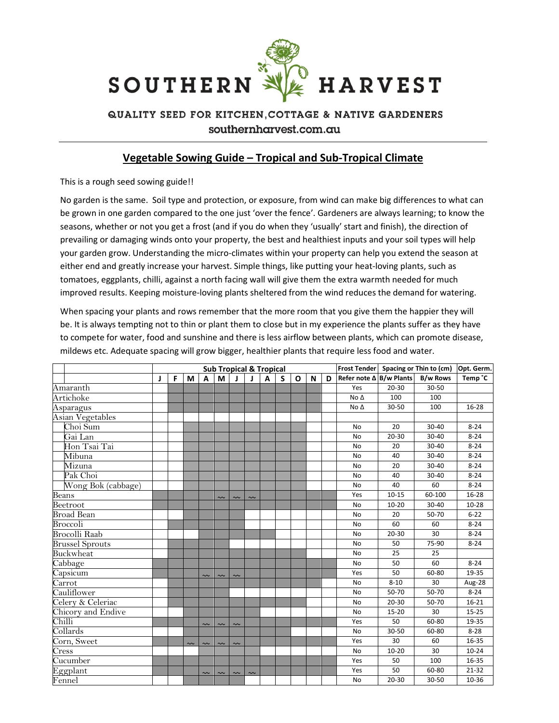

## QUALITY SEED FOR KITCHEN, COTTAGE & NATIVE GARDENERS southernharvest.com.au

## Vegetable Sowing Guide – Tropical and Sub-Tropical Climate

This is a rough seed sowing guide!!

No garden is the same. Soil type and protection, or exposure, from wind can make big differences to what can be grown in one garden compared to the one just 'over the fence'. Gardeners are always learning; to know the seasons, whether or not you get a frost (and if you do when they 'usually' start and finish), the direction of prevailing or damaging winds onto your property, the best and healthiest inputs and your soil types will help your garden grow. Understanding the micro-climates within your property can help you extend the season at either end and greatly increase your harvest. Simple things, like putting your heat-loving plants, such as tomatoes, eggplants, chilli, against a north facing wall will give them the extra warmth needed for much improved results. Keeping moisture-loving plants sheltered from the wind reduces the demand for watering.

When spacing your plants and rows remember that the more room that you give them the happier they will be. It is always tempting not to thin or plant them to close but in my experience the plants suffer as they have to compete for water, food and sunshine and there is less airflow between plants, which can promote disease, mildews etc. Adequate spacing will grow bigger, healthier plants that require less food and water.

|                              | <b>Sub Tropical &amp; Tropical</b> |   |        |        |        |        |            |   |   |              |   |   |                                | Frost Tender Spacing or Thin to (cm) |                 | Opt. Germ.          |
|------------------------------|------------------------------------|---|--------|--------|--------|--------|------------|---|---|--------------|---|---|--------------------------------|--------------------------------------|-----------------|---------------------|
|                              | J                                  | F | М      | A      | М      | J      |            | A | S | $\mathbf{o}$ | N | D | Refer note $\Delta$ B/w Plants |                                      | <b>B/w Rows</b> | Temp <sup>°</sup> C |
| Amaranth                     |                                    |   |        |        |        |        |            |   |   |              |   |   | Yes                            | 20-30                                | 30-50           |                     |
| Artichoke                    |                                    |   |        |        |        |        |            |   |   |              |   |   | No $\Delta$                    | 100                                  | 100             |                     |
| Asparagus                    |                                    |   |        |        |        |        |            |   |   |              |   |   | No Δ                           | 30-50                                | 100             | 16-28               |
| Asian Vegetables             |                                    |   |        |        |        |        |            |   |   |              |   |   |                                |                                      |                 |                     |
| Choi Sum                     |                                    |   |        |        |        |        |            |   |   |              |   |   | No                             | 20                                   | $30 - 40$       | $8 - 24$            |
| Gai Lan                      |                                    |   |        |        |        |        |            |   |   |              |   |   | <b>No</b>                      | 20-30                                | 30-40           | $8 - 24$            |
| Hon Tsai Tai                 |                                    |   |        |        |        |        |            |   |   |              |   |   | No                             | 20                                   | 30-40           | $8 - 24$            |
| Mibuna                       |                                    |   |        |        |        |        |            |   |   |              |   |   | <b>No</b>                      | 40                                   | 30-40           | $8 - 24$            |
| Mizuna                       |                                    |   |        |        |        |        |            |   |   |              |   |   | No                             | 20                                   | 30-40           | $8 - 24$            |
| Pak Choi                     |                                    |   |        |        |        |        |            |   |   |              |   |   | <b>No</b>                      | 40                                   | 30-40           | $8 - 24$            |
| Wong Bok (cabbage)           |                                    |   |        |        |        |        |            |   |   |              |   |   | No                             | 40                                   | 60              | $8 - 24$            |
| Beans                        |                                    |   |        |        | $\sim$ | $\sim$ | $\tilde{}$ |   |   |              |   |   | Yes                            | $10 - 15$                            | 60-100          | $16 - 28$           |
| Beetroot                     |                                    |   |        |        |        |        |            |   |   |              |   |   | No                             | $10 - 20$                            | $30 - 40$       | $10 - 28$           |
| Broad Bean                   |                                    |   |        |        |        |        |            |   |   |              |   |   | No                             | 20                                   | 50-70           | $6 - 22$            |
| Broccoli                     |                                    |   |        |        |        |        |            |   |   |              |   |   | No                             | 60                                   | 60              | $8 - 24$            |
| <b>Brocolli Raab</b>         |                                    |   |        |        |        |        |            |   |   |              |   |   | <b>No</b>                      | 20-30                                | 30              | $8 - 24$            |
| <b>Brussel Sprouts</b>       |                                    |   |        |        |        |        |            |   |   |              |   |   | No                             | 50                                   | 75-90           | $8 - 24$            |
| Buckwheat                    |                                    |   |        |        |        |        |            |   |   |              |   |   | No                             | 25                                   | 25              |                     |
| Cabbage                      |                                    |   |        |        |        |        |            |   |   |              |   |   | <b>No</b>                      | 50                                   | 60              | $8 - 24$            |
| Capsicum                     |                                    |   |        | $\sim$ | $\sim$ | $\sim$ |            |   |   |              |   |   | Yes                            | 50                                   | 60-80           | 19-35               |
| Carrot                       |                                    |   |        |        |        |        |            |   |   |              |   |   | No                             | $8 - 10$                             | 30              | Aug-28              |
| Cauliflower                  |                                    |   |        |        |        |        |            |   |   |              |   |   | <b>No</b>                      | 50-70                                | 50-70           | $8 - 24$            |
| Celery & Celeriac            |                                    |   |        |        |        |        |            |   |   |              |   |   | <b>No</b>                      | 20-30                                | 50-70           | $16 - 21$           |
| Chicory and Endive           |                                    |   |        |        |        |        |            |   |   |              |   |   | <b>No</b>                      | 15-20                                | 30              | $15 - 25$           |
| Chilli                       |                                    |   |        | $\sim$ | $\sim$ | $\sim$ |            |   |   |              |   |   | Yes                            | 50                                   | 60-80           | 19-35               |
| Collards                     |                                    |   |        |        |        |        |            |   |   |              |   |   | <b>No</b>                      | 30-50                                | 60-80           | $8 - 28$            |
| Corn, Sweet                  |                                    |   | $\sim$ | $\sim$ | $\sim$ | $\sim$ |            |   |   |              |   |   | Yes                            | 30                                   | 60              | 16-35               |
| Cress                        |                                    |   |        |        |        |        |            |   |   |              |   |   | <b>No</b>                      | $10 - 20$                            | 30              | $10 - 24$           |
| $\overline{\text{Cucumber}}$ |                                    |   |        |        |        |        |            |   |   |              |   |   | Yes                            | 50                                   | 100             | 16-35               |
| Eggplant                     |                                    |   |        | $\sim$ | $\sim$ | $\sim$ | $\sim$     |   |   |              |   |   | Yes                            | 50                                   | 60-80           | 21-32               |
| Fennel                       |                                    |   |        |        |        |        |            |   |   |              |   |   | <b>No</b>                      | 20-30                                | 30-50           | 10-36               |